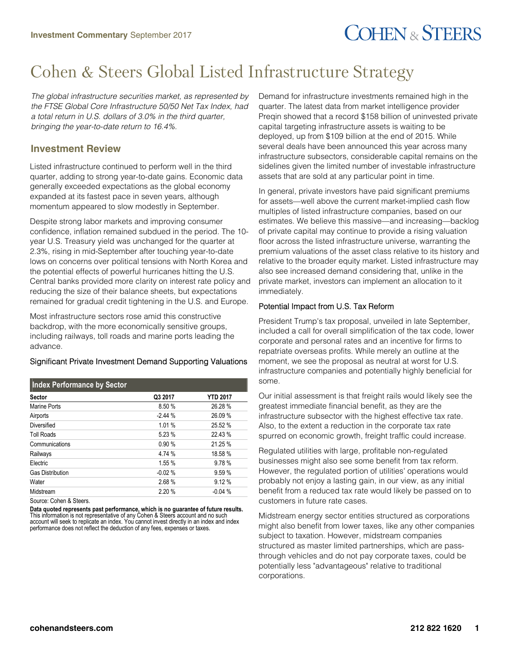# **COHEN & STEERS**

## Cohen & Steers Global Listed Infrastructure Strategy

*The global infrastructure securities market, as represented by the FTSE Global Core Infrastructure 50/50 Net Tax Index, had a total return in U.S. dollars of 3.0% in the third quarter, bringing the year-to-date return to 16.4%.*

### **Investment Review**

Listed infrastructure continued to perform well in the third quarter, adding to strong year-to-date gains. Economic data generally exceeded expectations as the global economy expanded at its fastest pace in seven years, although momentum appeared to slow modestly in September.

Despite strong labor markets and improving consumer confidence, inflation remained subdued in the period. The 10 year U.S. Treasury yield was unchanged for the quarter at 2.3%, rising in mid-September after touching year-to-date lows on concerns over political tensions with North Korea and the potential effects of powerful hurricanes hitting the U.S. Central banks provided more clarity on interest rate policy and reducing the size of their balance sheets, but expectations remained for gradual credit tightening in the U.S. and Europe.

Most infrastructure sectors rose amid this constructive backdrop, with the more economically sensitive groups, including railways, toll roads and marine ports leading the advance.

#### Significant Private Investment Demand Supporting Valuations

| Index Performance by Sector |          |                 |
|-----------------------------|----------|-----------------|
| <b>Sector</b>               | Q3 2017  | <b>YTD 2017</b> |
| Marine Ports                | 8.50 %   | 26.28 %         |
| Airports                    | $-2.44%$ | 26.09 %         |
| Diversified                 | 1.01%    | 25.52 %         |
| <b>Toll Roads</b>           | 5.23 %   | 22.43 %         |
| Communications              | 0.90%    | 21.25 %         |
| Railways                    | 4.74 %   | 18.58 %         |
| Electric                    | 1.55 %   | 9.78%           |
| <b>Gas Distribution</b>     | $-0.02%$ | 9.59%           |
| Water                       | 2.68%    | 9.12%           |
| Midstream                   | 2.20%    | $-0.04%$        |

Source: Cohen & Steers.

**Data quoted represents past performance, which is no guarantee of future results.** This information is not representative of any Cohen & Steers account and no such account will seek to replicate an index. You cannot invest directly in an index and index performance does not reflect the deduction of any fees, expenses or taxes.

Demand for infrastructure investments remained high in the quarter. The latest data from market intelligence provider Preqin showed that a record \$158 billion of uninvested private capital targeting infrastructure assets is waiting to be deployed, up from \$109 billion at the end of 2015. While several deals have been announced this year across many infrastructure subsectors, considerable capital remains on the sidelines given the limited number of investable infrastructure assets that are sold at any particular point in time.

In general, private investors have paid significant premiums for assets—well above the current market-implied cash flow multiples of listed infrastructure companies, based on our estimates. We believe this massive—and increasing—backlog of private capital may continue to provide a rising valuation floor across the listed infrastructure universe, warranting the premium valuations of the asset class relative to its history and relative to the broader equity market. Listed infrastructure may also see increased demand considering that, unlike in the private market, investors can implement an allocation to it immediately.

#### Potential Impact from U.S. Tax Reform

President Trump's tax proposal, unveiled in late September, included a call for overall simplification of the tax code, lower corporate and personal rates and an incentive for firms to repatriate overseas profits. While merely an outline at the moment, we see the proposal as neutral at worst for U.S. infrastructure companies and potentially highly beneficial for some.

Our initial assessment is that freight rails would likely see the greatest immediate financial benefit, as they are the infrastructure subsector with the highest effective tax rate. Also, to the extent a reduction in the corporate tax rate spurred on economic growth, freight traffic could increase.

Regulated utilities with large, profitable non-regulated businesses might also see some benefit from tax reform. However, the regulated portion of utilities' operations would probably not enjoy a lasting gain, in our view, as any initial benefit from a reduced tax rate would likely be passed on to customers in future rate cases.

Midstream energy sector entities structured as corporations might also benefit from lower taxes, like any other companies subject to taxation. However, midstream companies structured as master limited partnerships, which are passthrough vehicles and do not pay corporate taxes, could be potentially less "advantageous" relative to traditional corporations.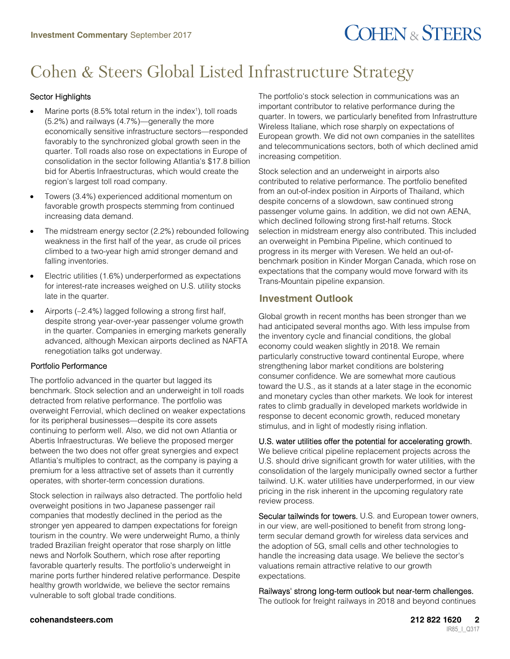# **COHEN & STEERS**

## Cohen & Steers Global Listed Infrastructure Strategy

### Sector Highlights

- $\bullet$  Marine ports (8.5% total return in the index<sup>1</sup>), toll roads (5.2%) and railways (4.7%)—generally the more economically sensitive infrastructure sectors—responded favorably to the synchronized global growth seen in the quarter. Toll roads also rose on expectations in Europe of consolidation in the sector following Atlantia's \$17.8 billion bid for Abertis Infraestructuras, which would create the region's largest toll road company.
- Towers (3.4%) experienced additional momentum on favorable growth prospects stemming from continued increasing data demand.
- The midstream energy sector (2.2%) rebounded following weakness in the first half of the year, as crude oil prices climbed to a two-year high amid stronger demand and falling inventories.
- Electric utilities (1.6%) underperformed as expectations for interest-rate increases weighed on U.S. utility stocks late in the quarter.
- Airports (-2.4%) lagged following a strong first half, despite strong year-over-year passenger volume growth in the quarter. Companies in emerging markets generally advanced, although Mexican airports declined as NAFTA renegotiation talks got underway.

#### Portfolio Performance

The portfolio advanced in the quarter but lagged its benchmark. Stock selection and an underweight in toll roads detracted from relative performance. The portfolio was overweight Ferrovial, which declined on weaker expectations for its peripheral businesses—despite its core assets continuing to perform well. Also, we did not own Atlantia or Abertis Infraestructuras. We believe the proposed merger between the two does not offer great synergies and expect Atlantia's multiples to contract, as the company is paying a premium for a less attractive set of assets than it currently operates, with shorter-term concession durations.

Stock selection in railways also detracted. The portfolio held overweight positions in two Japanese passenger rail companies that modestly declined in the period as the stronger yen appeared to dampen expectations for foreign tourism in the country. We were underweight Rumo, a thinly traded Brazilian freight operator that rose sharply on little news and Norfolk Southern, which rose after reporting favorable quarterly results. The portfolio's underweight in marine ports further hindered relative performance. Despite healthy growth worldwide, we believe the sector remains vulnerable to soft global trade conditions.

The portfolio's stock selection in communications was an important contributor to relative performance during the quarter. In towers, we particularly benefited from Infrastrutture Wireless Italiane, which rose sharply on expectations of European growth. We did not own companies in the satellites and telecommunications sectors, both of which declined amid increasing competition.

Stock selection and an underweight in airports also contributed to relative performance. The portfolio benefited from an out-of-index position in Airports of Thailand, which despite concerns of a slowdown, saw continued strong passenger volume gains. In addition, we did not own AENA, which declined following strong first-half returns. Stock selection in midstream energy also contributed. This included an overweight in Pembina Pipeline, which continued to progress in its merger with Veresen. We held an out-ofbenchmark position in Kinder Morgan Canada, which rose on expectations that the company would move forward with its Trans-Mountain pipeline expansion.

### **Investment Outlook**

Global growth in recent months has been stronger than we had anticipated several months ago. With less impulse from the inventory cycle and financial conditions, the global economy could weaken slightly in 2018. We remain particularly constructive toward continental Europe, where strengthening labor market conditions are bolstering consumer confidence. We are somewhat more cautious toward the U.S., as it stands at a later stage in the economic and monetary cycles than other markets. We look for interest rates to climb gradually in developed markets worldwide in response to decent economic growth, reduced monetary stimulus, and in light of modestly rising inflation.

U.S. water utilities offer the potential for accelerating growth. We believe critical pipeline replacement projects across the U.S. should drive significant growth for water utilities, with the consolidation of the largely municipally owned sector a further tailwind. U.K. water utilities have underperformed, in our view pricing in the risk inherent in the upcoming regulatory rate review process.

Secular tailwinds for towers. U.S. and European tower owners, in our view, are well-positioned to benefit from strong longterm secular demand growth for wireless data services and the adoption of 5G, small cells and other technologies to handle the increasing data usage. We believe the sector's valuations remain attractive relative to our growth expectations.

Railways' strong long-term outlook but near-term challenges. The outlook for freight railways in 2018 and beyond continues